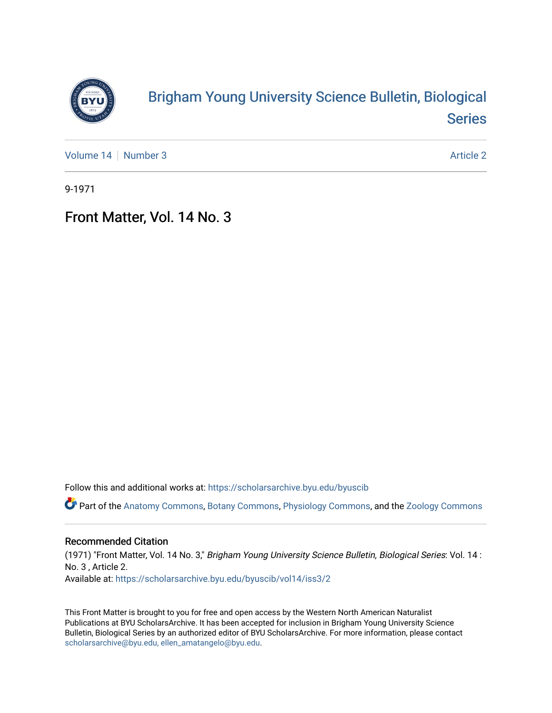

## [Brigham Young University Science Bulletin, Biological](https://scholarsarchive.byu.edu/byuscib)  [Series](https://scholarsarchive.byu.edu/byuscib)

[Volume 14](https://scholarsarchive.byu.edu/byuscib/vol14) | [Number 3](https://scholarsarchive.byu.edu/byuscib/vol14/iss3) [Article 2](https://scholarsarchive.byu.edu/byuscib/vol14/iss3/2) Article 2 Article 2 Article 2 Article 2 Article 2 Article 2 Article 2 Article 2

9-1971

## Front Matter, Vol. 14 No. 3

Follow this and additional works at: [https://scholarsarchive.byu.edu/byuscib](https://scholarsarchive.byu.edu/byuscib?utm_source=scholarsarchive.byu.edu%2Fbyuscib%2Fvol14%2Fiss3%2F2&utm_medium=PDF&utm_campaign=PDFCoverPages)

Part of the [Anatomy Commons,](http://network.bepress.com/hgg/discipline/903?utm_source=scholarsarchive.byu.edu%2Fbyuscib%2Fvol14%2Fiss3%2F2&utm_medium=PDF&utm_campaign=PDFCoverPages) [Botany Commons,](http://network.bepress.com/hgg/discipline/104?utm_source=scholarsarchive.byu.edu%2Fbyuscib%2Fvol14%2Fiss3%2F2&utm_medium=PDF&utm_campaign=PDFCoverPages) [Physiology Commons,](http://network.bepress.com/hgg/discipline/69?utm_source=scholarsarchive.byu.edu%2Fbyuscib%2Fvol14%2Fiss3%2F2&utm_medium=PDF&utm_campaign=PDFCoverPages) and the [Zoology Commons](http://network.bepress.com/hgg/discipline/81?utm_source=scholarsarchive.byu.edu%2Fbyuscib%2Fvol14%2Fiss3%2F2&utm_medium=PDF&utm_campaign=PDFCoverPages)

## Recommended Citation

(1971) "Front Matter, Vol. 14 No. 3," Brigham Young University Science Bulletin, Biological Series: Vol. 14 : No. 3 , Article 2. Available at: [https://scholarsarchive.byu.edu/byuscib/vol14/iss3/2](https://scholarsarchive.byu.edu/byuscib/vol14/iss3/2?utm_source=scholarsarchive.byu.edu%2Fbyuscib%2Fvol14%2Fiss3%2F2&utm_medium=PDF&utm_campaign=PDFCoverPages) 

This Front Matter is brought to you for free and open access by the Western North American Naturalist Publications at BYU ScholarsArchive. It has been accepted for inclusion in Brigham Young University Science Bulletin, Biological Series by an authorized editor of BYU ScholarsArchive. For more information, please contact [scholarsarchive@byu.edu, ellen\\_amatangelo@byu.edu](mailto:scholarsarchive@byu.edu,%20ellen_amatangelo@byu.edu).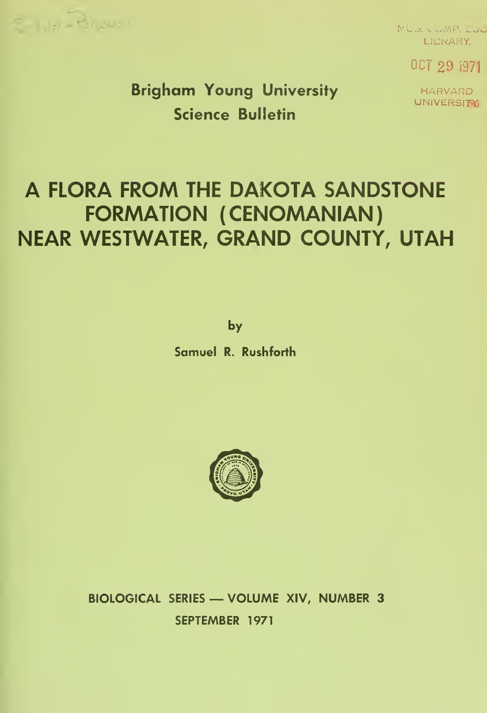

MUD. COMP. LUC LIBRARY;

OCT 29 <sup>1971</sup>

HARVARD UNIVERSITYI

Brigham Young University Science Bulletin

# A FLORA FROM THE DAKOTA SANDSTONE FORMATION (CENOMANIAN) NEAR WESTWATER, GRAND COUNTY, UTAH

by

Samuel R. Rushforth



BIOLOGICAL SERIES — VOLUME XIV, NUMBER <sup>3</sup> SEPTEMBER 1971